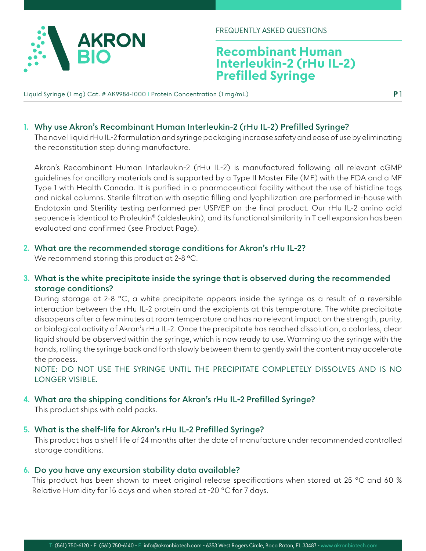

FREQUENTLY ASKED QUESTIONS

# **Recombinant Human Interleukin-2 (rHu IL-2) Prefilled Syringe**

Liquid Syringe (1 mg) Cat. # AK9984-1000 I Protein Concentration (1 mg/mL)

### **1. Why use Akron's Recombinant Human Interleukin-2 (rHu IL-2) Prefilled Syringe?**

The novel liquid rHu IL-2 formulation and syringe packaging increase safety and ease of use by eliminating the reconstitution step during manufacture.

Akron's Recombinant Human Interleukin-2 (rHu IL-2) is manufactured following all relevant cGMP guidelines for ancillary materials and is supported by a Type II Master File (MF) with the FDA and a MF Type 1 with Health Canada. It is purified in a pharmaceutical facility without the use of histidine tags and nickel columns. Sterile filtration with aseptic filling and lyophilization are performed in-house with Endotoxin and Sterility testing performed per USP/EP on the final product. Our rHu IL-2 amino acid sequence is identical to Proleukin® (aldesleukin), and its functional similarity in T cell expansion has been evaluated and confirmed (see Product Page).

### **2. What are the recommended storage conditions for Akron's rHu IL-2?**

We recommend storing this product at 2-8 °C.

## **3. What is the white precipitate inside the syringe that is observed during the recommended storage conditions?**

During storage at 2-8 °C, a white precipitate appears inside the syringe as a result of a reversible interaction between the rHu IL-2 protein and the excipients at this temperature. The white precipitate disappears after a few minutes at room temperature and has no relevant impact on the strength, purity, or biological activity of Akron's rHu IL-2. Once the precipitate has reached dissolution, a colorless, clear liquid should be observed within the syringe, which is now ready to use. Warming up the syringe with the hands, rolling the syringe back and forth slowly between them to gently swirl the content may accelerate the process.

NOTE: DO NOT USE THE SYRINGE UNTIL THE PRECIPITATE COMPLETELY DISSOLVES AND IS NO LONGER VISIBLE.

### **4. What are the shipping conditions for Akron's rHu IL-2 Prefilled Syringe?**

This product ships with cold packs.

### **5. What is the shelf-life for Akron's rHu IL-2 Prefilled Syringe?**

This product has a shelf life of 24 months after the date of manufacture under recommended controlled storage conditions.

### **6. Do you have any excursion stability data available?**

This product has been shown to meet original release specifications when stored at 25 °C and 60 % Relative Humidity for 15 days and when stored at -20 °C for 7 days.

**P** 1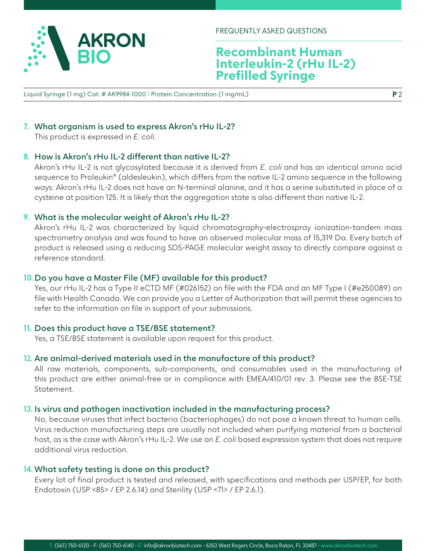

FREQUENTLY ASKED QUESTIONS

# **Recombinant Human Interleukin-2 (rHu IL-2) Prefilled Syringe**

Liquid Syringe (1 mg) Cat. # AK9984-1000 I Protein Concentration (1 mg/mL)

# **7. What organism is used to express Akron's rHu IL-2?**

This product is expressed in *E. coli*.

### **8. How is Akron's rHu IL-2 different than native IL-2?**

Akron's rHu IL-2 is not glycosylated because it is derived from E. coli and has an identical amino acid sequence to Proleukin® (aldesleukin), which differs from the native IL-2 amino sequence in the following ways: Akron's rHu IL-2 does not have an N-terminal alanine, and it has a serine substituted in place of a cysteine at position 125. It is likely that the aggregation state is also different than native IL-2.

#### **9. What is the molecular weight of Akron's rHu IL-2?**

Akron's rHu IL-2 was characterized by liquid chromatography-electrospray ionization-tandem mass spectrometry analysis and was found to have an observed molecular mass of 15,319 Da. Every batch of product is released using a reducing SDS-PAGE molecular weight assay to directly compare against a reference standard.

#### **10. Do you have a Master File (MF) available for this product?**

Yes, our rHu IL-2 has a Type II eCTD MF (#026152) on file with the FDA and an MF Type I (#e250089) on file with Health Canada. We can provide you a Letter of Authorization that will permit these agencies to refer to the information on file in support of your submissions.

### **11. Does this product have a TSE/BSE statement?**

Yes, a TSE/BSE statement is available upon request for this product.

#### **12. Are animal-derived materials used in the manufacture of this product?**

All raw materials, components, sub-components, and consumables used in the manufacturing of this product are either animal-free or in compliance with EMEA/410/01 rev. 3. Please see the BSE-TSE Statement.

### **13. Is virus and pathogen inactivation included in the manufacturing process?**

No, because viruses that infect bacteria (bacteriophages) do not pose a known threat to human cells. Virus reduction manufacturing steps are usually not included when purifying material from a bacterial host, as is the case with Akron's rHu IL-2. We use an *E. coli* based expression system that does not require additional virus reduction.

#### **14. What safety testing is done on this product?**

Every lot of final product is tested and released, with specifications and methods per USP/EP, for both Endotoxin (USP <85> / EP 2.6.14) and Sterility (USP <71> / EP 2.6.1).

**P** 2